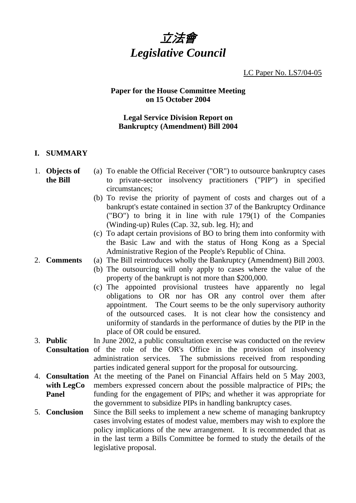

LC Paper No. LS7/04-05

## **Paper for the House Committee Meeting on 15 October 2004**

## **Legal Service Division Report on Bankruptcy (Amendment) Bill 2004**

## **I. SUMMARY**

- 1. **Objects of the Bill** 
	- (a) To enable the Official Receiver ("OR") to outsource bankruptcy cases to private-sector insolvency practitioners ("PIP") in specified circumstances;
		- (b) To revise the priority of payment of costs and charges out of a bankrupt's estate contained in section 37 of the Bankruptcy Ordinance ("BO") to bring it in line with rule 179(1) of the Companies (Winding-up) Rules (Cap. 32, sub. leg. H); and
		- (c) To adapt certain provisions of BO to bring them into conformity with the Basic Law and with the status of Hong Kong as a Special Administrative Region of the People's Republic of China.
- 2. **Comments** (a) The Bill reintroduces wholly the Bankruptcy (Amendment) Bill 2003.
	- (b) The outsourcing will only apply to cases where the value of the property of the bankrupt is not more than \$200,000.
	- (c) The appointed provisional trustees have apparently no legal obligations to OR nor has OR any control over them after appointment. The Court seems to be the only supervisory authority of the outsourced cases. It is not clear how the consistency and uniformity of standards in the performance of duties by the PIP in the place of OR could be ensured.
- 3. **Public Consultation** of the role of the OR's Office in the provision of insolvency In June 2002, a public consultation exercise was conducted on the review administration services. The submissions received from responding parties indicated general support for the proposal for outsourcing.
- 4. **Consultation**  At the meeting of the Panel on Financial Affairs held on 5 May 2003, **with LegCo Panel** members expressed concern about the possible malpractice of PIPs; the funding for the engagement of PIPs; and whether it was appropriate for the government to subsidize PIPs in handling bankruptcy cases.
- 5. **Conclusion** Since the Bill seeks to implement a new scheme of managing bankruptcy cases involving estates of modest value, members may wish to explore the policy implications of the new arrangement. It is recommended that as in the last term a Bills Committee be formed to study the details of the legislative proposal.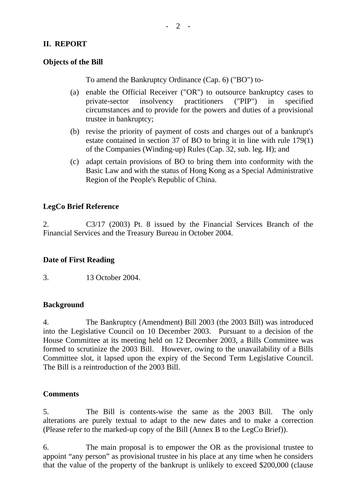## **II. REPORT**

#### **Objects of the Bill**

To amend the Bankruptcy Ordinance (Cap. 6) ("BO") to-

- (a) enable the Official Receiver ("OR") to outsource bankruptcy cases to private-sector insolvency practitioners ("PIP") in specified circumstances and to provide for the powers and duties of a provisional trustee in bankruptcy;
- (b) revise the priority of payment of costs and charges out of a bankrupt's estate contained in section 37 of BO to bring it in line with rule 179(1) of the Companies (Winding-up) Rules (Cap. 32, sub. leg. H); and
- (c) adapt certain provisions of BO to bring them into conformity with the Basic Law and with the status of Hong Kong as a Special Administrative Region of the People's Republic of China.

## **LegCo Brief Reference**

2. C3/17 (2003) Pt. 8 issued by the Financial Services Branch of the Financial Services and the Treasury Bureau in October 2004.

#### **Date of First Reading**

3. 13 October 2004.

#### **Background**

4. The Bankruptcy (Amendment) Bill 2003 (the 2003 Bill) was introduced into the Legislative Council on 10 December 2003. Pursuant to a decision of the House Committee at its meeting held on 12 December 2003, a Bills Committee was formed to scrutinize the 2003 Bill. However, owing to the unavailability of a Bills Committee slot, it lapsed upon the expiry of the Second Term Legislative Council. The Bill is a reintroduction of the 2003 Bill.

#### **Comments**

5. The Bill is contents-wise the same as the 2003 Bill. The only alterations are purely textual to adapt to the new dates and to make a correction (Please refer to the marked-up copy of the Bill (Annex B to the LegCo Brief)).

6. The main proposal is to empower the OR as the provisional trustee to appoint "any person" as provisional trustee in his place at any time when he considers that the value of the property of the bankrupt is unlikely to exceed \$200,000 (clause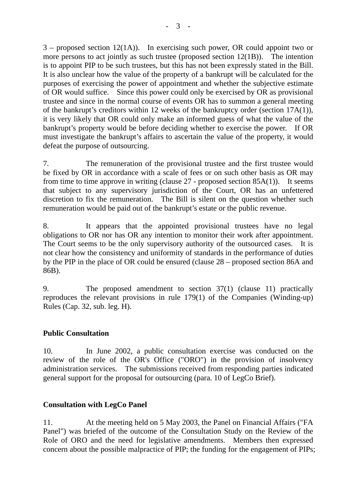$3$  – proposed section 12(1A)). In exercising such power, OR could appoint two or more persons to act jointly as such trustee (proposed section 12(1B)). The intention is to appoint PIP to be such trustees, but this has not been expressly stated in the Bill. It is also unclear how the value of the property of a bankrupt will be calculated for the purposes of exercising the power of appointment and whether the subjective estimate of OR would suffice. Since this power could only be exercised by OR as provisional trustee and since in the normal course of events OR has to summon a general meeting of the bankrupt's creditors within 12 weeks of the bankruptcy order (section 17A(1)), it is very likely that OR could only make an informed guess of what the value of the bankrupt's property would be before deciding whether to exercise the power. If OR must investigate the bankrupt's affairs to ascertain the value of the property, it would defeat the purpose of outsourcing.

7. The remuneration of the provisional trustee and the first trustee would be fixed by OR in accordance with a scale of fees or on such other basis as OR may from time to time approve in writing (clause  $27$  - proposed section  $85A(1)$ ). It seems that subject to any supervisory jurisdiction of the Court, OR has an unfettered discretion to fix the remuneration. The Bill is silent on the question whether such remuneration would be paid out of the bankrupt's estate or the public revenue.

8. It appears that the appointed provisional trustees have no legal obligations to OR nor has OR any intention to monitor their work after appointment. The Court seems to be the only supervisory authority of the outsourced cases. It is not clear how the consistency and uniformity of standards in the performance of duties by the PIP in the place of OR could be ensured (clause 28 – proposed section 86A and 86B).

9. The proposed amendment to section 37(1) (clause 11) practically reproduces the relevant provisions in rule 179(1) of the Companies (Winding-up) Rules (Cap. 32, sub. leg. H).

# **Public Consultation**

10. In June 2002, a public consultation exercise was conducted on the review of the role of the OR's Office ("ORO") in the provision of insolvency administration services. The submissions received from responding parties indicated general support for the proposal for outsourcing (para. 10 of LegCo Brief).

# **Consultation with LegCo Panel**

11. At the meeting held on 5 May 2003, the Panel on Financial Affairs ("FA Panel") was briefed of the outcome of the Consultation Study on the Review of the Role of ORO and the need for legislative amendments. Members then expressed concern about the possible malpractice of PIP; the funding for the engagement of PIPs;